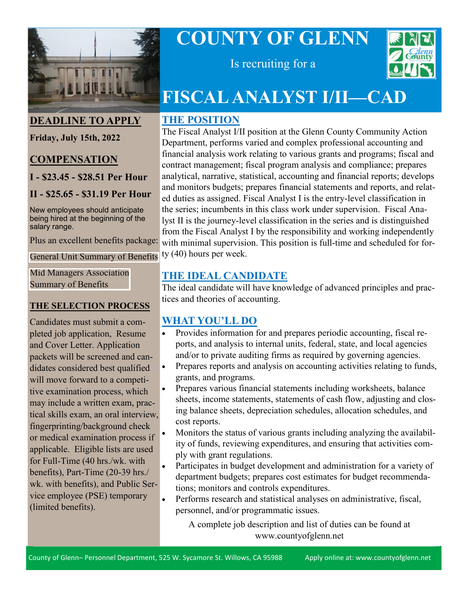

#### **DEADLINE TO APPLY**

**Friday, July 15th, 2022**

#### **COMPENSATION**

**I - \$23.45 - \$28.51 Per Hour**

#### **II - \$25.65 - \$31.19 Per Hour**

New employees should anticipate being hired at the beginning of the salary range.

Plus an excellent benefits package:

[General Unit Summary of Benefits](https://www.countyofglenn.net/sites/default/files/Personnel/MOU/GCPERL%2014-GU%20Sum%20of%20Benefits%2020110701_0.pdf)

[Mid Managers Association](https://www.countyofglenn.net/sites/default/files/Personnel/MOU/GCPERL%2017-GCMMA%20Sum%20of%20Benefits%2020110701_0.pdf)  Summary of Benefits

#### **THE SELECTION PROCESS**

Candidates must submit a completed job application, Resume and Cover Letter. Application packets will be screened and candidates considered best qualified will move forward to a competitive examination process, which may include a written exam, practical skills exam, an oral interview, fingerprinting/background check or medical examination process if applicable. Eligible lists are used for Full-Time (40 hrs./wk. with benefits), Part-Time (20-39 hrs./ wk. with benefits), and Public Service employee (PSE) temporary (limited benefits).

# **COUNTY OF GLENN**



Is recruiting for a

## **FISCAL ANALYST I/II—CAD**

## **THE POSITION**

The Fiscal Analyst I/II position at the Glenn County Community Action Department, performs varied and complex professional accounting and financial analysis work relating to various grants and programs; fiscal and contract management; fiscal program analysis and compliance; prepares analytical, narrative, statistical, accounting and financial reports; develops and monitors budgets; prepares financial statements and reports, and related duties as assigned. Fiscal Analyst I is the entry-level classification in the series; incumbents in this class work under supervision. Fiscal Analyst II is the journey-level classification in the series and is distinguished from the Fiscal Analyst I by the responsibility and working independently with minimal supervision. This position is full-time and scheduled for forty (40) hours per week.

## **THE IDEAL CANDIDATE**

The ideal candidate will have knowledge of advanced principles and practices and theories of accounting.

## **WHAT YOU'LL DO**

- Provides information for and prepares periodic accounting, fiscal reports, and analysis to internal units, federal, state, and local agencies and/or to private auditing firms as required by governing agencies.
- Prepares reports and analysis on accounting activities relating to funds, grants, and programs.
- Prepares various financial statements including worksheets, balance sheets, income statements, statements of cash flow, adjusting and closing balance sheets, depreciation schedules, allocation schedules, and cost reports.
- Monitors the status of various grants including analyzing the availability of funds, reviewing expenditures, and ensuring that activities comply with grant regulations.
- Participates in budget development and administration for a variety of department budgets; prepares cost estimates for budget recommendations; monitors and controls expenditures.
- Performs research and statistical analyses on administrative, fiscal, personnel, and/or programmatic issues.

A complete job description and list of duties can be found at www.countyofglenn.net